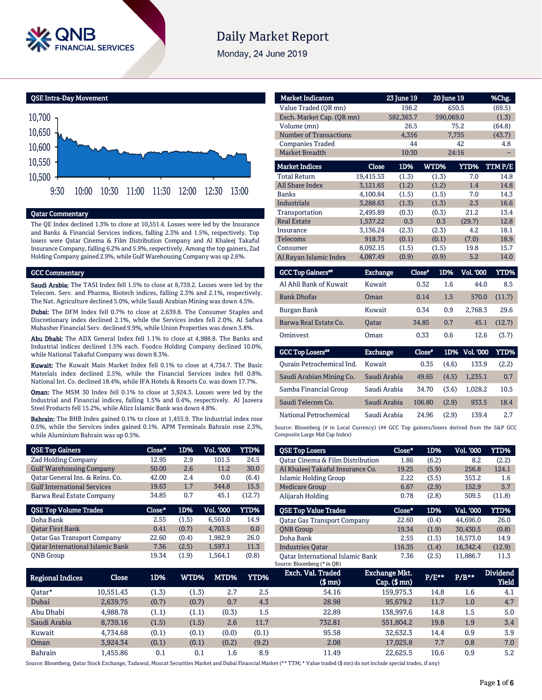

# **Daily Market Report**

Monday, 24 June 2019



#### Qatar Commentary

The QE Index declined 1.3% to close at 10,551.4. Losses were led by the Insurance and Banks & Financial Services indices, falling 2.3% and 1.5%, respectively. Top losers were Qatar Cinema & Film Distribution Company and Al Khaleej Takaful Insurance Company, falling 6.2% and 5.9%, respectively. Among the top gainers, Zad Holding Company gained 2.9%, while Gulf Warehousing Company was up 2.6%.

#### GCC Commentary

Saudi Arabia: The TASI Index fell 1.5% to close at 8,739.2. Losses were led by the Telecom. Serv. and Pharma, Biotech indices, falling 2.3% and 2.1%, respectively. The Nat. Agriculture declined 5.0%, while Saudi Arabian Mining was down 4.5%.

Dubai: The DFM Index fell 0.7% to close at 2,639.8. The Consumer Staples and Discretionary index declined 2.1%, while the Services index fell 2.0%. Al Safwa Mubasher Financial Serv. declined 9.9%, while Union Properties was down 3.8%.

Abu Dhabi: The ADX General Index fell 1.1% to close at 4,988.8. The Banks and Industrial indices declined 1.5% each. Foodco Holding Company declined 10.0%, while National Takaful Company was down 8.3%.

Kuwait: The Kuwait Main Market Index fell 0.1% to close at 4,734.7. The Basic Materials index declined 2.5%, while the Financial Services index fell 0.8%. National Int. Co. declined 18.4%, while IFA Hotels & Resorts Co. was down 17.7%.

Oman: The MSM 30 Index fell 0.1% to close at 3,924.3. Losses were led by the Industrial and Financial indices, falling 1.5% and 0.4%, respectively. Al Jazeera Steel Products fell 15.2%, while Alizz Islamic Bank was down 4.8%.

Bahrain: The BHB Index gained 0.1% to close at 1,455.9. The Industrial index rose 0.5%, while the Services index gained 0.1%. APM Terminals Bahrain rose 2.3%, while Aluminium Bahrain was up 0.5%.

| <b>QSE Top Gainers</b>                  | Close* | 1D%   | Vol. 000         | YTD%        |
|-----------------------------------------|--------|-------|------------------|-------------|
| <b>Zad Holding Company</b>              | 12.95  | 2.9   | 101.5            | 24.5        |
| <b>Gulf Warehousing Company</b>         | 50.00  | 2.6   | 11.2             | 30.0        |
| Oatar General Ins. & Reins. Co.         | 42.00  | 2.4   | 0.0              | (6.4)       |
| <b>Gulf International Services</b>      | 19.63  | 1.7   | 344.8            | 15.5        |
| Barwa Real Estate Company               | 34.85  | 0.7   | 45.1             | (12.7)      |
|                                         |        |       |                  |             |
| <b>QSE Top Volume Trades</b>            | Close* | 1D%   | <b>Vol. '000</b> | <b>YTD%</b> |
| Doha Bank                               | 2.55   | (1.5) | 6.561.0          | 14.9        |
| <b>Oatar First Bank</b>                 | 0.41   | (0.7) | 4,703.5          | 0.0         |
| <b>Oatar Gas Transport Company</b>      | 22.60  | (0.4) | 1.982.9          | 26.0        |
| <b>Oatar International Islamic Bank</b> | 7.36   | (2.5) | 1.597.1          | 11.3        |

| <b>Market Indicators</b>      |           | 23 June 19 |       | 20 June 19  | %Chg.  |
|-------------------------------|-----------|------------|-------|-------------|--------|
| Value Traded (OR mn)          |           | 198.2      |       | 650.5       | (69.5) |
| Exch. Market Cap. (QR mn)     |           | 582,363.7  |       | 590,069.0   | (1.3)  |
| Volume (mn)                   |           | 26.5       |       | 75.2        | (64.8) |
| <b>Number of Transactions</b> |           | 4,356      |       | 7,735       | (43.7) |
| <b>Companies Traded</b>       |           | 44         |       | 42          | 4.8    |
| Market Breadth                |           | 10:30      |       | 24:16       |        |
| <b>Market Indices</b>         | Close     | 1D%        | WTD%  | <b>YTD%</b> | TTMP/E |
| <b>Total Return</b>           | 19,415.53 | (1.3)      | (1.3) | 7.0         | 14.8   |
| <b>All Share Index</b>        | 3,121.65  | (1.2)      | (1.2) | 1.4         | 14.8   |
| <b>Banks</b>                  | 4,100.84  | (1.5)      | (1.5) | 7.0         | 14.3   |
| <b>Industrials</b>            | 3.288.63  | (1.3)      | (1.3) | 2.3         | 16.6   |
| Transportation                | 2,495.89  | (0.3)      | (0.3) | 21.2        | 13.4   |
| <b>Real Estate</b>            | 1.537.22  | 0.3        | 0.3   | (29.7)      | 12.8   |
| Insurance                     | 3,136.24  | (2.3)      | (2.3) | 4.2         | 18.1   |
| <b>Telecoms</b>               | 918.75    | (0.1)      | (0.1) | (7.0)       | 18.9   |
| Consumer                      | 8,092.15  | (1.5)      | (1.5) | 19.8        | 15.7   |
| Al Rayan Islamic Index        | 4,087.49  | (0.9)      | (0.9) | 5.2         | 14.0   |

| <b>GCC Top Gainers</b> <sup>##</sup> | <b>Exchange</b> | Close* | 1D% | <b>Vol. '000</b> | YTD%   |
|--------------------------------------|-----------------|--------|-----|------------------|--------|
| Al Ahli Bank of Kuwait               | Kuwait          | 0.32   | 1.6 | 44.0             | 8.5    |
| <b>Bank Dhofar</b>                   | Oman            | 0.14   | 1.5 | 570.0            | (11.7) |
| Burgan Bank                          | Kuwait          | 0.34   | 0.9 | 2.768.3          | 29.6   |
| Barwa Real Estate Co.                | <b>Oatar</b>    | 34.85  | 0.7 | 45.1             | (12.7) |
| Ominyest                             | Oman            | 0.33   | 0.6 | 12.6             | (3.7)  |
|                                      |                 |        |     |                  |        |

| <b>GCC Top Losers**</b>   | <b>Exchange</b> | Close* |       | 1D% Vol. '000 | YTD%  |
|---------------------------|-----------------|--------|-------|---------------|-------|
| Qurain Petrochemical Ind. | Kuwait          | 0.35   | (4.6) | 133.9         | (2.2) |
| Saudi Arabian Mining Co.  | Saudi Arabia    | 49.65  | (4.5) | 1.235.1       | 0.7   |
| Samba Financial Group     | Saudi Arabia    | 34.70  | (3.6) | 1.028.2       | 10.5  |
| Saudi Telecom Co.         | Saudi Arabia    | 106.80 | (2.9) | 933.5         | 18.4  |
| National Petrochemical    | Saudi Arabia    | 24.96  | (2.9) | 139.4         | 2.7   |
|                           |                 |        |       |               |       |

Source: Bloomberg (# in Local Currency) (## GCC Top gainers/losers derived from the S&P GCC Composite Large Mid Cap Index)

| <b>QSE Top Losers</b>              | Close* | 1D%   | <b>Vol. '000</b> | YTD%   |
|------------------------------------|--------|-------|------------------|--------|
| Oatar Cinema & Film Distribution   | 1.86   | (6.2) | 8.2              | (2.2)  |
| Al Khaleej Takaful Insurance Co.   | 19.25  | (5.9) | 256.8            | 124.1  |
| Islamic Holding Group              | 2.22   | (3.5) | 353.2            | 1.6    |
| <b>Medicare Group</b>              | 6.67   | (2.9) | 152.9            | 5.7    |
| Alijarah Holding                   | 0.78   | (2.8) | 509.5            | (11.8) |
|                                    |        |       |                  |        |
|                                    |        |       |                  |        |
| <b>OSE Top Value Trades</b>        | Close* | 1D%   | Val. '000        | YTD%   |
| <b>Oatar Gas Transport Company</b> | 22.60  | (0.4) | 44.696.0         | 26.0   |
| <b>ONB</b> Group                   | 19.34  | (1.9) | 30.430.5         | (0.8)  |
| Doha Bank                          | 2.55   | (1.5) | 16.573.0         | 14.9   |
| <b>Industries Oatar</b>            | 116.35 | (1.4) | 16,342.4         | (12.9) |

| Regional Indices | Close     | 1D%   | WTD%  | MTD%  | YTD%    | Exch. Val. Traded<br>$$$ mn $)$ | Exchange Mkt.<br>$Cap.$ ( $$mn)$ | $P/E***$ | $P/B**$ | <b>Dividend</b><br>Yield |
|------------------|-----------|-------|-------|-------|---------|---------------------------------|----------------------------------|----------|---------|--------------------------|
| Oatar*           | 10.551.43 | (1.3) | (1.3) | 2.7   | 2.5     | 54.16                           | 159.975.3                        | 14.8     | 1.6     | 4.1                      |
| Dubai            | 2.639.75  | (0.7) | (0.7) | 0.7   | 4.3     | 28.98                           | 95,679.2                         | 11.7     | 1.0     | 4.7                      |
| Abu Dhabi        | 4.988.78  | (1.1) | (1.1) | (0.3) | $1.5\,$ | 22.89                           | 138.997.6                        | 14.8     | 1.5     | 5.0                      |
| Saudi Arabia     | 8.739.16  | (1.5) | (1.5) | 2.6   | 11.7    | 732.81                          | 551.804.2                        | 19.8     | 1.9     | 3.4                      |
| Kuwait           | 4.734.68  | (0.1) | (0.1) | (0.0) | (0.1)   | 95.58                           | 32.632.3                         | 14.4     | 0.9     | 3.9                      |
| Oman             | 3.924.34  | (0.1) | (0.1) | (0.2) | (9.2)   | 2.08                            | 17.025.8                         | 7.7      | 0.8     | 7.0                      |
| <b>Bahrain</b>   | .455.86   | 0.1   | 0.1   | 1.6   | 8.9     | 11.49                           | 22.625.5                         | 10.6     | 0.9     | 5.2                      |

Source: Bloomberg, Qatar Stock Exchange, Tadawul, Muscat Securities Market and Dubai Financial Market (\*\* TTM; \* Value traded (\$ mn) do not include special trades, if any)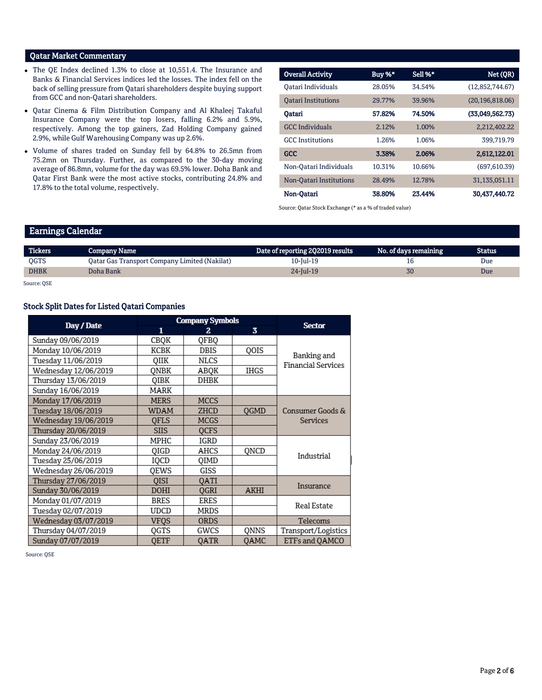## Qatar Market Commentary

- The QE Index declined 1.3% to close at 10,551.4. The Insurance and Banks & Financial Services indices led the losses. The index fell on the back of selling pressure from Qatari shareholders despite buying support from GCC and non-Qatari shareholders.
- Qatar Cinema & Film Distribution Company and Al Khaleej Takaful Insurance Company were the top losers, falling 6.2% and 5.9%, respectively. Among the top gainers, Zad Holding Company gained 2.9%, while Gulf Warehousing Company was up 2.6%.
- Volume of shares traded on Sunday fell by 64.8% to 26.5mn from 75.2mn on Thursday. Further, as compared to the 30-day moving average of 86.8mn, volume for the day was 69.5% lower. Doha Bank and Qatar First Bank were the most active stocks, contributing 24.8% and 17.8% to the total volume, respectively.

| <b>Overall Activity</b>    | Buy %* | Sell %* | Net (QR)          |
|----------------------------|--------|---------|-------------------|
| Oatari Individuals         | 28.05% | 34.54%  | (12,852,744.67)   |
| <b>Oatari Institutions</b> | 29.77% | 39.96%  | (20, 196, 818.06) |
| Oatari                     | 57.82% | 74.50%  | (33,049,562,73)   |
| <b>GCC</b> Individuals     | 2.12%  | 1.00%   | 2.212.402.22      |
| <b>GCC</b> Institutions    | 1.26%  | 1.06%   | 399,719.79        |
| <b>GCC</b>                 | 3.38%  | 2.06%   | 2,612,122.01      |
| Non-Oatari Individuals     | 10.31% | 10.66%  | (697.610.39)      |
| Non-Oatari Institutions    | 28.49% | 12.78%  | 31,135,051.11     |
| Non-Oatari                 | 38.80% | 23.44%  | 30.437.440.72     |

Source: Qatar Stock Exchange (\* as a % of traded value)

#### Earnings Calendar

| <b>Tickers</b> | <b>Company Name</b>                           | Date of reporting 2Q2019 results | No. of days remaining | <b>Status</b> |
|----------------|-----------------------------------------------|----------------------------------|-----------------------|---------------|
| <b>OGTS</b>    | Qatar Gas Transport Company Limited (Nakilat) | 10-Jul-19                        |                       | Due           |
| <b>DHBK</b>    | Doha Bank                                     | $24$ -Jul-19                     | 30                    | Due           |

Source: QSE

#### Stock Split Dates for Listed Qatari Companies

|                      | <b>Company Symbols</b> | <b>Sector</b> |                         |                           |
|----------------------|------------------------|---------------|-------------------------|---------------------------|
| Day / Date           | 1                      | 2             | $\overline{\mathbf{3}}$ |                           |
| Sunday 09/06/2019    | CBQK                   | QFBQ          |                         |                           |
| Monday 10/06/2019    | КСВК                   | DBIS          | QOIS                    | Banking and               |
| Tuesday 11/06/2019   | OIIK                   | NLCS          |                         | <b>Financial Services</b> |
| Wednesday 12/06/2019 | ONBK                   | ABOK          | <b>IHGS</b>             |                           |
| Thursday 13/06/2019  | OIBK                   | DHBK          |                         |                           |
| Sunday 16/06/2019    | MARK                   |               |                         |                           |
| Monday 17/06/2019    | <b>MERS</b>            | <b>MCCS</b>   |                         |                           |
| Tuesday 18/06/2019   | WDAM                   | ZHCD          | <b>OGMD</b>             | Consumer Goods &          |
| Wednesday 19/06/2019 | OFLS                   | MCGS          |                         | Services                  |
| Thursday 20/06/2019  | <b>SIIS</b>            | <b>OCFS</b>   |                         |                           |
| Sunday 23/06/2019    | MPHC                   | IGRD          |                         |                           |
| Monday 24/06/2019    | QIGD                   | AHCS          | QNCD                    | Industrial                |
| Tuesday 25/06/2019   | IQCD                   | QIMD          |                         |                           |
| Wednesday 26/06/2019 | OEWS                   | GISS          |                         |                           |
| Thursday 27/06/2019  | <b>OISI</b>            | <b>OATI</b>   |                         | Insurance                 |
| Sunday 30/06/2019    | DOHI                   | QGRI          | AKHI                    |                           |
| Monday 01/07/2019    | <b>BRES</b>            | <b>ERES</b>   |                         | Real Estate               |
| Tuesday 02/07/2019   | UDCD                   | MRDS          |                         |                           |
| Wednesday 03/07/2019 | VFOS                   | <b>ORDS</b>   |                         | Telecoms                  |
| Thursday 04/07/2019  | OGTS                   | GWCS          | ONNS                    | Transport/Logistics       |
| Sunday 07/07/2019    | <b>OETF</b>            | <b>OATR</b>   | <b>OAMC</b>             | ETFs and QAMCO            |

Source: QSE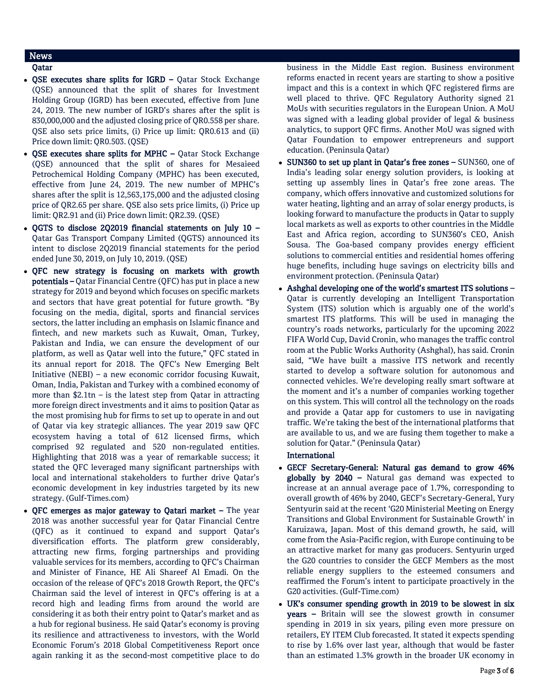# News

### Qatar

- OSE executes share splits for IGRD Qatar Stock Exchange (QSE) announced that the split of shares for Investment Holding Group (IGRD) has been executed, effective from June 24, 2019. The new number of IGRD's shares after the split is 830,000,000 and the adjusted closing price of QR0.558 per share. QSE also sets price limits, (i) Price up limit: QR0.613 and (ii) Price down limit: QR0.503. (QSE)
- QSE executes share splits for MPHC Qatar Stock Exchange (QSE) announced that the split of shares for Mesaieed Petrochemical Holding Company (MPHC) has been executed, effective from June 24, 2019. The new number of MPHC's shares after the split is 12,563,175,000 and the adjusted closing price of QR2.65 per share. QSE also sets price limits, (i) Price up limit: QR2.91 and (ii) Price down limit: QR2.39. (QSE)
- QGTS to disclose 2Q2019 financial statements on July 10 Qatar Gas Transport Company Limited (QGTS) announced its intent to disclose 2Q2019 financial statements for the period ended June 30, 2019, on July 10, 2019. (QSE)
- QFC new strategy is focusing on markets with growth potentials – Qatar Financial Centre (QFC) has put in place a new strategy for 2019 and beyond which focuses on specific markets and sectors that have great potential for future growth. "By focusing on the media, digital, sports and financial services sectors, the latter including an emphasis on Islamic finance and fintech, and new markets such as Kuwait, Oman, Turkey, Pakistan and India, we can ensure the development of our platform, as well as Qatar well into the future," QFC stated in its annual report for 2018. The QFC's New Emerging Belt Initiative (NEBI) – a new economic corridor focusing Kuwait, Oman, India, Pakistan and Turkey with a combined economy of more than \$2.1tn – is the latest step from Qatar in attracting more foreign direct investments and it aims to position Qatar as the most promising hub for firms to set up to operate in and out of Qatar via key strategic alliances. The year 2019 saw QFC ecosystem having a total of 612 licensed firms, which comprised 92 regulated and 520 non-regulated entities. Highlighting that 2018 was a year of remarkable success; it stated the QFC leveraged many significant partnerships with local and international stakeholders to further drive Qatar's economic development in key industries targeted by its new strategy. (Gulf-Times.com)
- QFC emerges as major gateway to Qatari market The year 2018 was another successful year for Qatar Financial Centre (QFC) as it continued to expand and support Qatar's diversification efforts. The platform grew considerably, attracting new firms, forging partnerships and providing valuable services for its members, according to QFC's Chairman and Minister of Finance, HE Ali Shareef Al Emadi. On the occasion of the release of QFC's 2018 Growth Report, the QFC's Chairman said the level of interest in QFC's offering is at a record high and leading firms from around the world are considering it as both their entry point to Qatar's market and as a hub for regional business. He said Qatar's economy is proving its resilience and attractiveness to investors, with the World Economic Forum's 2018 Global Competitiveness Report once again ranking it as the second-most competitive place to do

business in the Middle East region. Business environment reforms enacted in recent years are starting to show a positive impact and this is a context in which QFC registered firms are well placed to thrive. QFC Regulatory Authority signed 21 MoUs with securities regulators in the European Union. A MoU was signed with a leading global provider of legal & business analytics, to support QFC firms. Another MoU was signed with Qatar Foundation to empower entrepreneurs and support education. (Peninsula Qatar)

- SUN360 to set up plant in Qatar's free zones SUN360, one of India's leading solar energy solution providers, is looking at setting up assembly lines in Qatar's free zone areas. The company, which offers innovative and customized solutions for water heating, lighting and an array of solar energy products, is looking forward to manufacture the products in Qatar to supply local markets as well as exports to other countries in the Middle East and Africa region, according to SUN360's CEO, Anish Sousa. The Goa-based company provides energy efficient solutions to commercial entities and residential homes offering huge benefits, including huge savings on electricity bills and environment protection. (Peninsula Qatar)
- Ashghal developing one of the world's smartest ITS solutions Qatar is currently developing an Intelligent Transportation System (ITS) solution which is arguably one of the world's smartest ITS platforms. This will be used in managing the country's roads networks, particularly for the upcoming 2022 FIFA World Cup, David Cronin, who manages the traffic control room at the Public Works Authority (Ashghal), has said. Cronin said, "We have built a massive ITS network and recently started to develop a software solution for autonomous and connected vehicles. We're developing really smart software at the moment and it's a number of companies working together on this system. This will control all the technology on the roads and provide a Qatar app for customers to use in navigating traffic. We're taking the best of the international platforms that are available to us, and we are fusing them together to make a solution for Qatar." (Peninsula Qatar)

#### International

- GECF Secretary-General: Natural gas demand to grow 46% globally by  $2040$  – Natural gas demand was expected to increase at an annual average pace of 1.7%, corresponding to overall growth of 46% by 2040, GECF's Secretary-General, Yury Sentyurin said at the recent 'G20 Ministerial Meeting on Energy Transitions and Global Environment for Sustainable Growth' in Karuizawa, Japan. Most of this demand growth, he said, will come from the Asia-Pacific region, with Europe continuing to be an attractive market for many gas producers. Sentyurin urged the G20 countries to consider the GECF Members as the most reliable energy suppliers to the esteemed consumers and reaffirmed the Forum's intent to participate proactively in the G20 activities. (Gulf-Time.com)
- UK's consumer spending growth in 2019 to be slowest in six years – Britain will see the slowest growth in consumer spending in 2019 in six years, piling even more pressure on retailers, EY ITEM Club forecasted. It stated it expects spending to rise by 1.6% over last year, although that would be faster than an estimated 1.3% growth in the broader UK economy in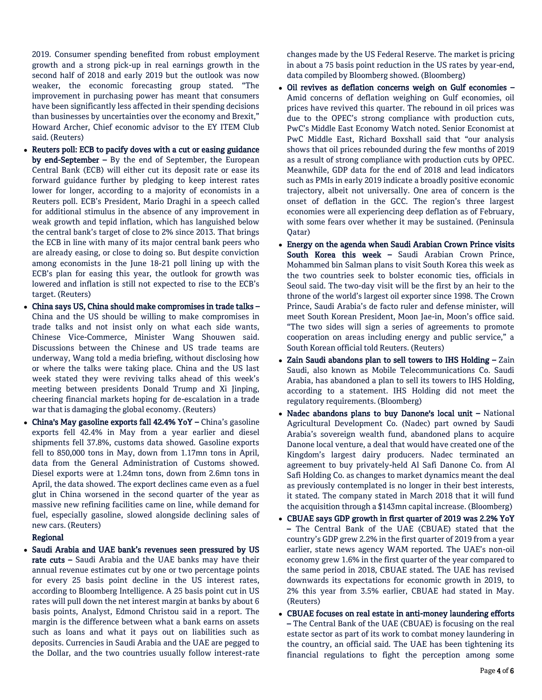2019. Consumer spending benefited from robust employment growth and a strong pick-up in real earnings growth in the second half of 2018 and early 2019 but the outlook was now weaker, the economic forecasting group stated. "The improvement in purchasing power has meant that consumers have been significantly less affected in their spending decisions than businesses by uncertainties over the economy and Brexit," Howard Archer, Chief economic advisor to the EY ITEM Club said. (Reuters)

- Reuters poll: ECB to pacify doves with a cut or easing guidance by end-September  $-$  By the end of September, the European Central Bank (ECB) will either cut its deposit rate or ease its forward guidance further by pledging to keep interest rates lower for longer, according to a majority of economists in a Reuters poll. ECB's President, Mario Draghi in a speech called for additional stimulus in the absence of any improvement in weak growth and tepid inflation, which has languished below the central bank's target of close to 2% since 2013. That brings the ECB in line with many of its major central bank peers who are already easing, or close to doing so. But despite conviction among economists in the June 18-21 poll lining up with the ECB's plan for easing this year, the outlook for growth was lowered and inflation is still not expected to rise to the ECB's target. (Reuters)
- China says US, China should make compromises in trade talks China and the US should be willing to make compromises in trade talks and not insist only on what each side wants, Chinese Vice-Commerce, Minister Wang Shouwen said. Discussions between the Chinese and US trade teams are underway, Wang told a media briefing, without disclosing how or where the talks were taking place. China and the US last week stated they were reviving talks ahead of this week's meeting between presidents Donald Trump and Xi Jinping, cheering financial markets hoping for de-escalation in a trade war that is damaging the global economy. (Reuters)
- China's May gasoline exports fall 42.4% YoY China's gasoline exports fell 42.4% in May from a year earlier and diesel shipments fell 37.8%, customs data showed. Gasoline exports fell to 850,000 tons in May, down from 1.17mn tons in April, data from the General Administration of Customs showed. Diesel exports were at 1.24mn tons, down from 2.6mn tons in April, the data showed. The export declines came even as a fuel glut in China worsened in the second quarter of the year as massive new refining facilities came on line, while demand for fuel, especially gasoline, slowed alongside declining sales of new cars. (Reuters)

#### Regional

 Saudi Arabia and UAE bank's revenues seen pressured by US rate cuts – Saudi Arabia and the UAE banks may have their annual revenue estimates cut by one or two percentage points for every 25 basis point decline in the US interest rates, according to Bloomberg Intelligence. A 25 basis point cut in US rates will pull down the net interest margin at banks by about 6 basis points, Analyst, Edmond Christou said in a report. The margin is the difference between what a bank earns on assets such as loans and what it pays out on liabilities such as deposits. Currencies in Saudi Arabia and the UAE are pegged to the Dollar, and the two countries usually follow interest-rate

changes made by the US Federal Reserve. The market is pricing in about a 75 basis point reduction in the US rates by year-end, data compiled by Bloomberg showed. (Bloomberg)

- Oil revives as deflation concerns weigh on Gulf economies Amid concerns of deflation weighing on Gulf economies, oil prices have revived this quarter. The rebound in oil prices was due to the OPEC's strong compliance with production cuts, PwC's Middle East Economy Watch noted. Senior Economist at PwC Middle East, Richard Boxshall said that "our analysis shows that oil prices rebounded during the few months of 2019 as a result of strong compliance with production cuts by OPEC. Meanwhile, GDP data for the end of 2018 and lead indicators such as PMIs in early 2019 indicate a broadly positive economic trajectory, albeit not universally. One area of concern is the onset of deflation in the GCC. The region's three largest economies were all experiencing deep deflation as of February, with some fears over whether it may be sustained. (Peninsula Qatar)
- Energy on the agenda when Saudi Arabian Crown Prince visits South Korea this week – Saudi Arabian Crown Prince, Mohammed bin Salman plans to visit South Korea this week as the two countries seek to bolster economic ties, officials in Seoul said. The two-day visit will be the first by an heir to the throne of the world's largest oil exporter since 1998. The Crown Prince, Saudi Arabia's de facto ruler and defense minister, will meet South Korean President, Moon Jae-in, Moon's office said. "The two sides will sign a series of agreements to promote cooperation on areas including energy and public service," a South Korean official told Reuters. (Reuters)
- Zain Saudi abandons plan to sell towers to IHS Holding Zain Saudi, also known as Mobile Telecommunications Co. Saudi Arabia, has abandoned a plan to sell its towers to IHS Holding, according to a statement. IHS Holding did not meet the regulatory requirements. (Bloomberg)
- Nadec abandons plans to buy Danone's local unit National Agricultural Development Co. (Nadec) part owned by Saudi Arabia's sovereign wealth fund, abandoned plans to acquire Danone local venture, a deal that would have created one of the Kingdom's largest dairy producers. Nadec terminated an agreement to buy privately-held Al Safi Danone Co. from Al Safi Holding Co. as changes to market dynamics meant the deal as previously contemplated is no longer in their best interests, it stated. The company stated in March 2018 that it will fund the acquisition through a \$143mn capital increase. (Bloomberg)
- CBUAE says GDP growth in first quarter of 2019 was 2.2% YoY – The Central Bank of the UAE (CBUAE) stated that the country's GDP grew 2.2% in the first quarter of 2019 from a year earlier, state news agency WAM reported. The UAE's non-oil economy grew 1.6% in the first quarter of the year compared to the same period in 2018, CBUAE stated. The UAE has revised downwards its expectations for economic growth in 2019, to 2% this year from 3.5% earlier, CBUAE had stated in May. (Reuters)
- CBUAE focuses on real estate in anti-money laundering efforts – The Central Bank of the UAE (CBUAE) is focusing on the real estate sector as part of its work to combat money laundering in the country, an official said. The UAE has been tightening its financial regulations to fight the perception among some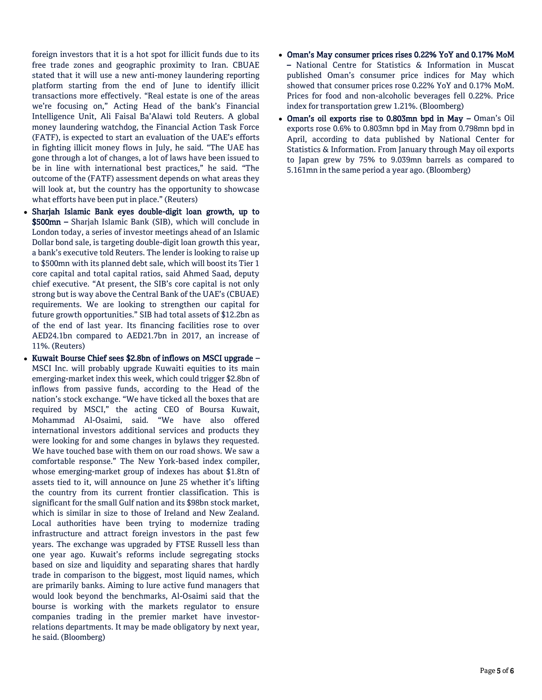foreign investors that it is a hot spot for illicit funds due to its free trade zones and geographic proximity to Iran. CBUAE stated that it will use a new anti-money laundering reporting platform starting from the end of June to identify illicit transactions more effectively. "Real estate is one of the areas we're focusing on," Acting Head of the bank's Financial Intelligence Unit, Ali Faisal Ba'Alawi told Reuters. A global money laundering watchdog, the Financial Action Task Force (FATF), is expected to start an evaluation of the UAE's efforts in fighting illicit money flows in July, he said. "The UAE has gone through a lot of changes, a lot of laws have been issued to be in line with international best practices," he said. "The outcome of the (FATF) assessment depends on what areas they will look at, but the country has the opportunity to showcase what efforts have been put in place." (Reuters)

- Sharjah Islamic Bank eyes double-digit loan growth, up to \$500mn – Sharjah Islamic Bank (SIB), which will conclude in London today, a series of investor meetings ahead of an Islamic Dollar bond sale, is targeting double-digit loan growth this year, a bank's executive told Reuters. The lender is looking to raise up to \$500mn with its planned debt sale, which will boost its Tier 1 core capital and total capital ratios, said Ahmed Saad, deputy chief executive. "At present, the SIB's core capital is not only strong but is way above the Central Bank of the UAE's (CBUAE) requirements. We are looking to strengthen our capital for future growth opportunities." SIB had total assets of \$12.2bn as of the end of last year. Its financing facilities rose to over AED24.1bn compared to AED21.7bn in 2017, an increase of 11%. (Reuters)
- Kuwait Bourse Chief sees \$2.8bn of inflows on MSCI upgrade MSCI Inc. will probably upgrade Kuwaiti equities to its main emerging-market index this week, which could trigger \$2.8bn of inflows from passive funds, according to the Head of the nation's stock exchange. "We have ticked all the boxes that are required by MSCI," the acting CEO of Boursa Kuwait, Mohammad Al-Osaimi, said. "We have also offered international investors additional services and products they were looking for and some changes in bylaws they requested. We have touched base with them on our road shows. We saw a comfortable response." The New York-based index compiler, whose emerging-market group of indexes has about \$1.8tn of assets tied to it, will announce on June 25 whether it's lifting the country from its current frontier classification. This is significant for the small Gulf nation and its \$98bn stock market, which is similar in size to those of Ireland and New Zealand. Local authorities have been trying to modernize trading infrastructure and attract foreign investors in the past few years. The exchange was upgraded by FTSE Russell less than one year ago. Kuwait's reforms include segregating stocks based on size and liquidity and separating shares that hardly trade in comparison to the biggest, most liquid names, which are primarily banks. Aiming to lure active fund managers that would look beyond the benchmarks, Al-Osaimi said that the bourse is working with the markets regulator to ensure companies trading in the premier market have investorrelations departments. It may be made obligatory by next year, he said. (Bloomberg)
- Oman's May consumer prices rises 0.22% YoY and 0.17% MoM – National Centre for Statistics & Information in Muscat published Oman's consumer price indices for May which showed that consumer prices rose 0.22% YoY and 0.17% MoM. Prices for food and non-alcoholic beverages fell 0.22%. Price index for transportation grew 1.21%. (Bloomberg)
- Oman's oil exports rise to 0.803mn bpd in May Oman's Oil exports rose 0.6% to 0.803mn bpd in May from 0.798mn bpd in April, according to data published by National Center for Statistics & Information. From January through May oil exports to Japan grew by 75% to 9.039mn barrels as compared to 5.161mn in the same period a year ago. (Bloomberg)